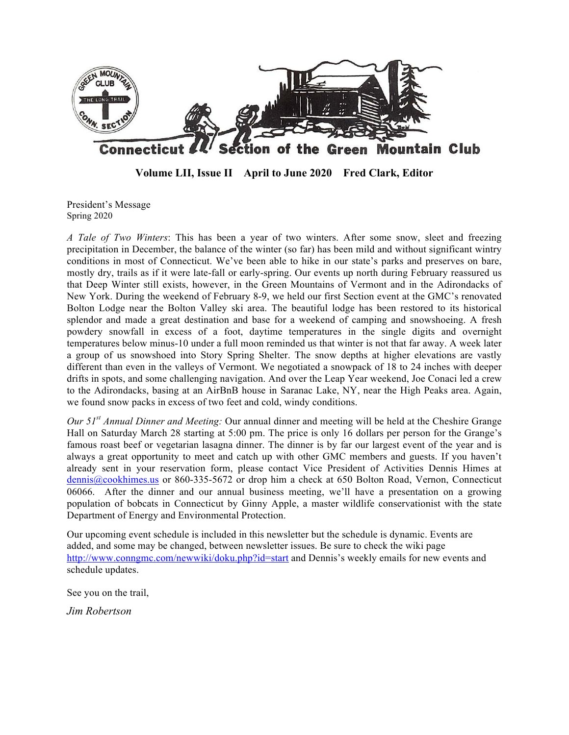

**Volume LII, Issue II April to June 2020 Fred Clark, Editor**

President's Message Spring 2020

*A Tale of Two Winters*: This has been a year of two winters. After some snow, sleet and freezing precipitation in December, the balance of the winter (so far) has been mild and without significant wintry conditions in most of Connecticut. We've been able to hike in our state's parks and preserves on bare, mostly dry, trails as if it were late-fall or early-spring. Our events up north during February reassured us that Deep Winter still exists, however, in the Green Mountains of Vermont and in the Adirondacks of New York. During the weekend of February 8-9, we held our first Section event at the GMC's renovated Bolton Lodge near the Bolton Valley ski area. The beautiful lodge has been restored to its historical splendor and made a great destination and base for a weekend of camping and snowshoeing. A fresh powdery snowfall in excess of a foot, daytime temperatures in the single digits and overnight temperatures below minus-10 under a full moon reminded us that winter is not that far away. A week later a group of us snowshoed into Story Spring Shelter. The snow depths at higher elevations are vastly different than even in the valleys of Vermont. We negotiated a snowpack of 18 to 24 inches with deeper drifts in spots, and some challenging navigation. And over the Leap Year weekend, Joe Conaci led a crew to the Adirondacks, basing at an AirBnB house in Saranac Lake, NY, near the High Peaks area. Again, we found snow packs in excess of two feet and cold, windy conditions.

*Our 51st Annual Dinner and Meeting:* Our annual dinner and meeting will be held at the Cheshire Grange Hall on Saturday March 28 starting at 5:00 pm. The price is only 16 dollars per person for the Grange's famous roast beef or vegetarian lasagna dinner. The dinner is by far our largest event of the year and is always a great opportunity to meet and catch up with other GMC members and guests. If you haven't already sent in your reservation form, please contact Vice President of Activities Dennis Himes at dennis@cookhimes.us or 860-335-5672 or drop him a check at 650 Bolton Road, Vernon, Connecticut 06066. After the dinner and our annual business meeting, we'll have a presentation on a growing population of bobcats in Connecticut by Ginny Apple, a master wildlife conservationist with the state Department of Energy and Environmental Protection.

Our upcoming event schedule is included in this newsletter but the schedule is dynamic. Events are added, and some may be changed, between newsletter issues. Be sure to check the wiki page http://www.conngmc.com/newwiki/doku.php?id=start and Dennis's weekly emails for new events and schedule updates.

See you on the trail,

*Jim Robertson*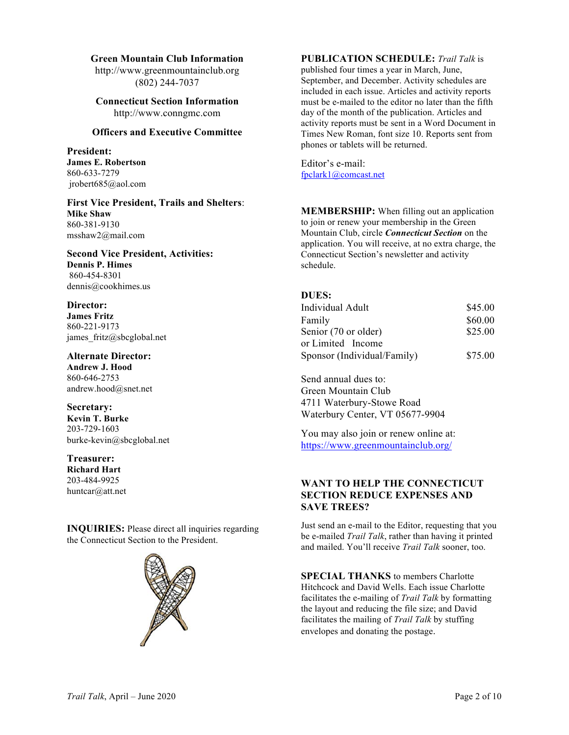#### **Green Mountain Club Information**

http://www.greenmountainclub.org (802) 244-7037

# **Connecticut Section Information** http://www.conngmc.com

### **Officers and Executive Committee**

**President: James E. Robertson** 860-633-7279 jrobert685@aol.com

**First Vice President, Trails and Shelters**: **Mike Shaw** 860-381-9130 msshaw2@mail.com

#### **Second Vice President, Activities: Dennis P. Himes** 860-454-8301 dennis@cookhimes.us

**Director: James Fritz** 860-221-9173 james fritz@sbcglobal.net

**Alternate Director: Andrew J. Hood** 860-646-2753 andrew.hood@snet.net

#### **Secretary: Kevin T. Burke** 203-729-1603 burke-kevin@sbcglobal.net

**Treasurer: Richard Hart** 203-484-9925 huntcar@att.net

**INQUIRIES:** Please direct all inquiries regarding the Connecticut Section to the President.



## **PUBLICATION SCHEDULE:** *Trail Talk* is

published four times a year in March, June, September, and December. Activity schedules are included in each issue. Articles and activity reports must be e-mailed to the editor no later than the fifth day of the month of the publication. Articles and activity reports must be sent in a Word Document in Times New Roman, font size 10. Reports sent from phones or tablets will be returned.

Editor's e-mail: fpclark1@comcast.net

**MEMBERSHIP:** When filling out an application to join or renew your membership in the Green Mountain Club, circle *Connecticut Section* on the application. You will receive, at no extra charge, the Connecticut Section's newsletter and activity schedule.

## **DUES:**

| Individual Adult            | \$45.00 |
|-----------------------------|---------|
| Family                      | \$60.00 |
| Senior (70 or older)        | \$25.00 |
| or Limited Income           |         |
| Sponsor (Individual/Family) | \$75.00 |

Send annual dues to: Green Mountain Club 4711 Waterbury-Stowe Road Waterbury Center, VT 05677-9904

You may also join or renew online at: https://www.greenmountainclub.org/

## **WANT TO HELP THE CONNECTICUT SECTION REDUCE EXPENSES AND SAVE TREES?**

Just send an e-mail to the Editor, requesting that you be e-mailed *Trail Talk*, rather than having it printed and mailed. You'll receive *Trail Talk* sooner, too.

**SPECIAL THANKS** to members Charlotte Hitchcock and David Wells. Each issue Charlotte facilitates the e-mailing of *Trail Talk* by formatting the layout and reducing the file size; and David facilitates the mailing of *Trail Talk* by stuffing envelopes and donating the postage.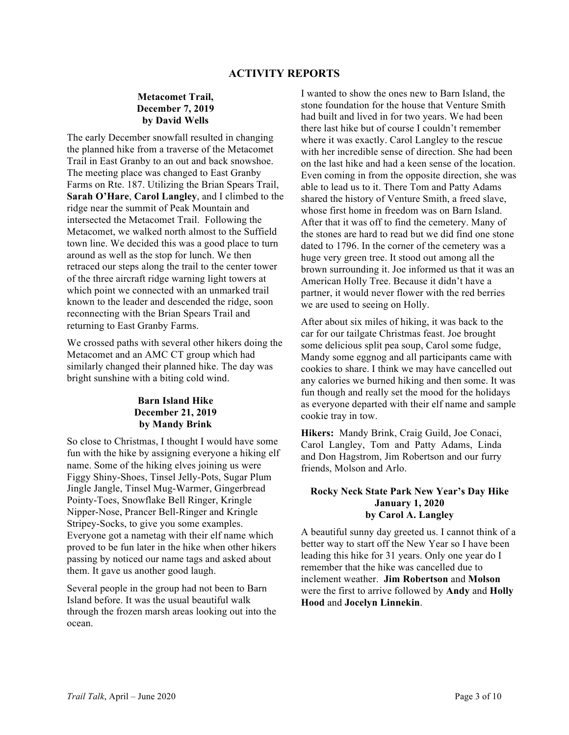# **ACTIVITY REPORTS**

## **Metacomet Trail, December 7, 2019 by David Wells**

The early December snowfall resulted in changing the planned hike from a traverse of the Metacomet Trail in East Granby to an out and back snowshoe. The meeting place was changed to East Granby Farms on Rte. 187. Utilizing the Brian Spears Trail, **Sarah O'Hare**, **Carol Langley**, and I climbed to the ridge near the summit of Peak Mountain and intersected the Metacomet Trail. Following the Metacomet, we walked north almost to the Suffield town line. We decided this was a good place to turn around as well as the stop for lunch. We then retraced our steps along the trail to the center tower of the three aircraft ridge warning light towers at which point we connected with an unmarked trail known to the leader and descended the ridge, soon reconnecting with the Brian Spears Trail and returning to East Granby Farms.

We crossed paths with several other hikers doing the Metacomet and an AMC CT group which had similarly changed their planned hike. The day was bright sunshine with a biting cold wind.

## **Barn Island Hike December 21, 2019 by Mandy Brink**

So close to Christmas, I thought I would have some fun with the hike by assigning everyone a hiking elf name. Some of the hiking elves joining us were Figgy Shiny-Shoes, Tinsel Jelly-Pots, Sugar Plum Jingle Jangle, Tinsel Mug-Warmer, Gingerbread Pointy-Toes, Snowflake Bell Ringer, Kringle Nipper-Nose, Prancer Bell-Ringer and Kringle Stripey-Socks, to give you some examples. Everyone got a nametag with their elf name which proved to be fun later in the hike when other hikers passing by noticed our name tags and asked about them. It gave us another good laugh.

Several people in the group had not been to Barn Island before. It was the usual beautiful walk through the frozen marsh areas looking out into the ocean.

I wanted to show the ones new to Barn Island, the stone foundation for the house that Venture Smith had built and lived in for two years. We had been there last hike but of course I couldn't remember where it was exactly. Carol Langley to the rescue with her incredible sense of direction. She had been on the last hike and had a keen sense of the location. Even coming in from the opposite direction, she was able to lead us to it. There Tom and Patty Adams shared the history of Venture Smith, a freed slave, whose first home in freedom was on Barn Island. After that it was off to find the cemetery. Many of the stones are hard to read but we did find one stone dated to 1796. In the corner of the cemetery was a huge very green tree. It stood out among all the brown surrounding it. Joe informed us that it was an American Holly Tree. Because it didn't have a partner, it would never flower with the red berries we are used to seeing on Holly.

After about six miles of hiking, it was back to the car for our tailgate Christmas feast. Joe brought some delicious split pea soup, Carol some fudge, Mandy some eggnog and all participants came with cookies to share. I think we may have cancelled out any calories we burned hiking and then some. It was fun though and really set the mood for the holidays as everyone departed with their elf name and sample cookie tray in tow.

**Hikers:** Mandy Brink, Craig Guild, Joe Conaci, Carol Langley, Tom and Patty Adams, Linda and Don Hagstrom, Jim Robertson and our furry friends, Molson and Arlo.

## **Rocky Neck State Park New Year's Day Hike January 1, 2020 by Carol A. Langley**

A beautiful sunny day greeted us. I cannot think of a better way to start off the New Year so I have been leading this hike for 31 years. Only one year do I remember that the hike was cancelled due to inclement weather. **Jim Robertson** and **Molson** were the first to arrive followed by **Andy** and **Holly Hood** and **Jocelyn Linnekin**.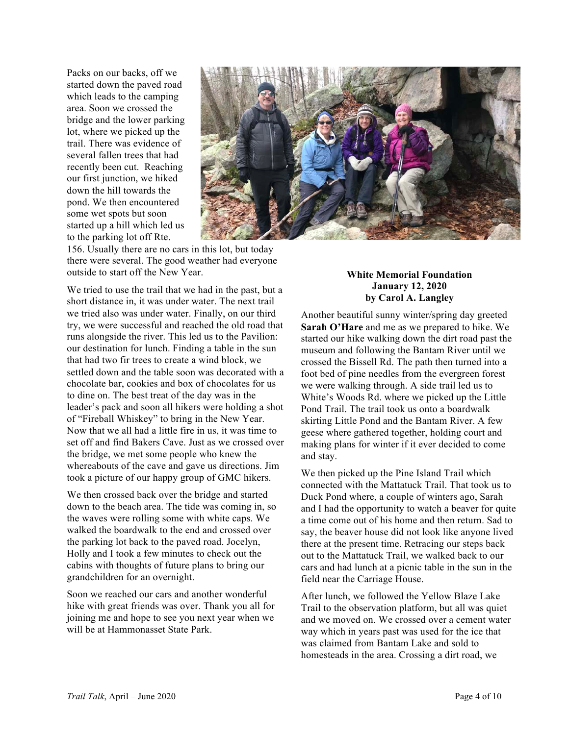Packs on our backs, off we started down the paved road which leads to the camping area. Soon we crossed the bridge and the lower parking lot, where we picked up the trail. There was evidence of several fallen trees that had recently been cut. Reaching our first junction, we hiked down the hill towards the pond. We then encountered some wet spots but soon started up a hill which led us to the parking lot off Rte.



156. Usually there are no cars in this lot, but today there were several. The good weather had everyone outside to start off the New Year.

We tried to use the trail that we had in the past, but a short distance in, it was under water. The next trail we tried also was under water. Finally, on our third try, we were successful and reached the old road that runs alongside the river. This led us to the Pavilion: our destination for lunch. Finding a table in the sun that had two fir trees to create a wind block, we settled down and the table soon was decorated with a chocolate bar, cookies and box of chocolates for us to dine on. The best treat of the day was in the leader's pack and soon all hikers were holding a shot of "Fireball Whiskey" to bring in the New Year. Now that we all had a little fire in us, it was time to set off and find Bakers Cave. Just as we crossed over the bridge, we met some people who knew the whereabouts of the cave and gave us directions. Jim took a picture of our happy group of GMC hikers.

We then crossed back over the bridge and started down to the beach area. The tide was coming in, so the waves were rolling some with white caps. We walked the boardwalk to the end and crossed over the parking lot back to the paved road. Jocelyn, Holly and I took a few minutes to check out the cabins with thoughts of future plans to bring our grandchildren for an overnight.

Soon we reached our cars and another wonderful hike with great friends was over. Thank you all for joining me and hope to see you next year when we will be at Hammonasset State Park.

## **White Memorial Foundation January 12, 2020 by Carol A. Langley**

Another beautiful sunny winter/spring day greeted **Sarah O'Hare** and me as we prepared to hike. We started our hike walking down the dirt road past the museum and following the Bantam River until we crossed the Bissell Rd. The path then turned into a foot bed of pine needles from the evergreen forest we were walking through. A side trail led us to White's Woods Rd. where we picked up the Little Pond Trail. The trail took us onto a boardwalk skirting Little Pond and the Bantam River. A few geese where gathered together, holding court and making plans for winter if it ever decided to come and stay.

We then picked up the Pine Island Trail which connected with the Mattatuck Trail. That took us to Duck Pond where, a couple of winters ago, Sarah and I had the opportunity to watch a beaver for quite a time come out of his home and then return. Sad to say, the beaver house did not look like anyone lived there at the present time. Retracing our steps back out to the Mattatuck Trail, we walked back to our cars and had lunch at a picnic table in the sun in the field near the Carriage House.

After lunch, we followed the Yellow Blaze Lake Trail to the observation platform, but all was quiet and we moved on. We crossed over a cement water way which in years past was used for the ice that was claimed from Bantam Lake and sold to homesteads in the area. Crossing a dirt road, we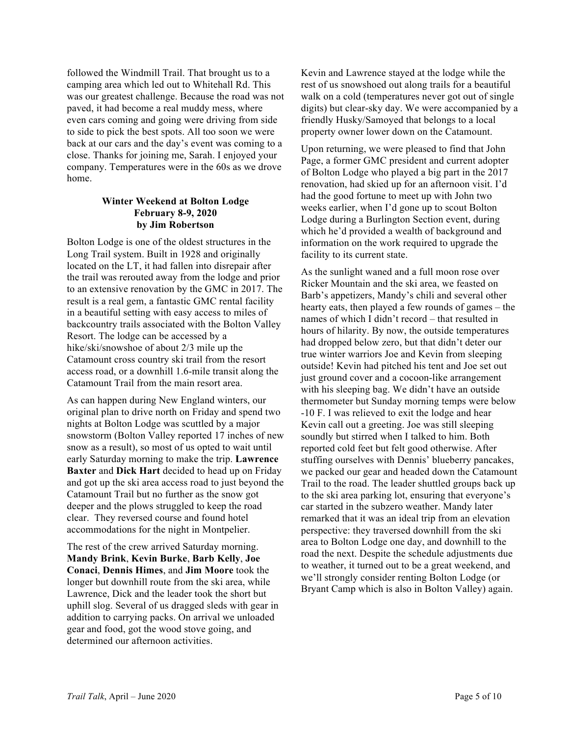followed the Windmill Trail. That brought us to a camping area which led out to Whitehall Rd. This was our greatest challenge. Because the road was not paved, it had become a real muddy mess, where even cars coming and going were driving from side to side to pick the best spots. All too soon we were back at our cars and the day's event was coming to a close. Thanks for joining me, Sarah. I enjoyed your company. Temperatures were in the 60s as we drove home.

# **Winter Weekend at Bolton Lodge February 8-9, 2020 by Jim Robertson**

Bolton Lodge is one of the oldest structures in the Long Trail system. Built in 1928 and originally located on the LT, it had fallen into disrepair after the trail was rerouted away from the lodge and prior to an extensive renovation by the GMC in 2017. The result is a real gem, a fantastic GMC rental facility in a beautiful setting with easy access to miles of backcountry trails associated with the Bolton Valley Resort. The lodge can be accessed by a hike/ski/snowshoe of about 2/3 mile up the Catamount cross country ski trail from the resort access road, or a downhill 1.6-mile transit along the Catamount Trail from the main resort area.

As can happen during New England winters, our original plan to drive north on Friday and spend two nights at Bolton Lodge was scuttled by a major snowstorm (Bolton Valley reported 17 inches of new snow as a result), so most of us opted to wait until early Saturday morning to make the trip. **Lawrence Baxter** and **Dick Hart** decided to head up on Friday and got up the ski area access road to just beyond the Catamount Trail but no further as the snow got deeper and the plows struggled to keep the road clear. They reversed course and found hotel accommodations for the night in Montpelier.

The rest of the crew arrived Saturday morning. **Mandy Brink**, **Kevin Burke**, **Barb Kelly**, **Joe Conaci**, **Dennis Himes**, and **Jim Moore** took the longer but downhill route from the ski area, while Lawrence, Dick and the leader took the short but uphill slog. Several of us dragged sleds with gear in addition to carrying packs. On arrival we unloaded gear and food, got the wood stove going, and determined our afternoon activities.

Kevin and Lawrence stayed at the lodge while the rest of us snowshoed out along trails for a beautiful walk on a cold (temperatures never got out of single digits) but clear-sky day. We were accompanied by a friendly Husky/Samoyed that belongs to a local property owner lower down on the Catamount.

Upon returning, we were pleased to find that John Page, a former GMC president and current adopter of Bolton Lodge who played a big part in the 2017 renovation, had skied up for an afternoon visit. I'd had the good fortune to meet up with John two weeks earlier, when I'd gone up to scout Bolton Lodge during a Burlington Section event, during which he'd provided a wealth of background and information on the work required to upgrade the facility to its current state.

As the sunlight waned and a full moon rose over Ricker Mountain and the ski area, we feasted on Barb's appetizers, Mandy's chili and several other hearty eats, then played a few rounds of games – the names of which I didn't record – that resulted in hours of hilarity. By now, the outside temperatures had dropped below zero, but that didn't deter our true winter warriors Joe and Kevin from sleeping outside! Kevin had pitched his tent and Joe set out just ground cover and a cocoon-like arrangement with his sleeping bag. We didn't have an outside thermometer but Sunday morning temps were below -10 F. I was relieved to exit the lodge and hear Kevin call out a greeting. Joe was still sleeping soundly but stirred when I talked to him. Both reported cold feet but felt good otherwise. After stuffing ourselves with Dennis' blueberry pancakes, we packed our gear and headed down the Catamount Trail to the road. The leader shuttled groups back up to the ski area parking lot, ensuring that everyone's car started in the subzero weather. Mandy later remarked that it was an ideal trip from an elevation perspective: they traversed downhill from the ski area to Bolton Lodge one day, and downhill to the road the next. Despite the schedule adjustments due to weather, it turned out to be a great weekend, and we'll strongly consider renting Bolton Lodge (or Bryant Camp which is also in Bolton Valley) again.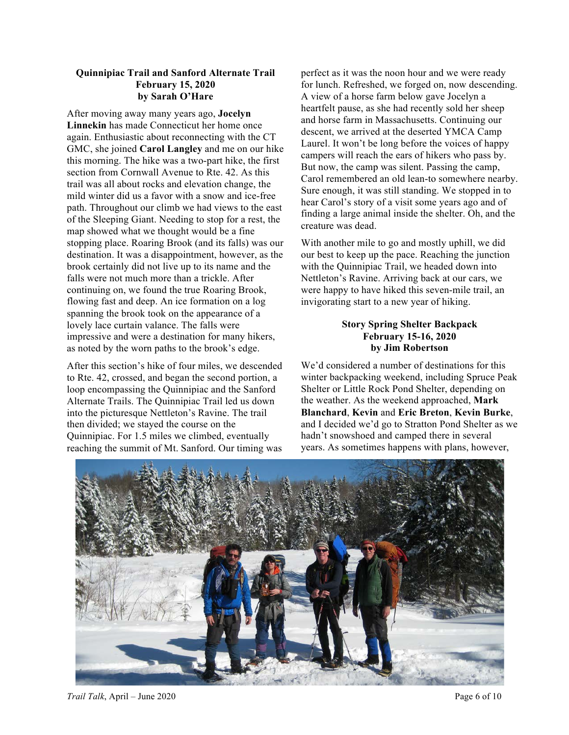## **Quinnipiac Trail and Sanford Alternate Trail February 15, 2020 by Sarah O'Hare**

After moving away many years ago, **Jocelyn Linnekin** has made Connecticut her home once again. Enthusiastic about reconnecting with the CT GMC, she joined **Carol Langley** and me on our hike this morning. The hike was a two-part hike, the first section from Cornwall Avenue to Rte. 42. As this trail was all about rocks and elevation change, the mild winter did us a favor with a snow and ice-free path. Throughout our climb we had views to the east of the Sleeping Giant. Needing to stop for a rest, the map showed what we thought would be a fine stopping place. Roaring Brook (and its falls) was our destination. It was a disappointment, however, as the brook certainly did not live up to its name and the falls were not much more than a trickle. After continuing on, we found the true Roaring Brook, flowing fast and deep. An ice formation on a log spanning the brook took on the appearance of a lovely lace curtain valance. The falls were impressive and were a destination for many hikers, as noted by the worn paths to the brook's edge.

After this section's hike of four miles, we descended to Rte. 42, crossed, and began the second portion, a loop encompassing the Quinnipiac and the Sanford Alternate Trails. The Quinnipiac Trail led us down into the picturesque Nettleton's Ravine. The trail then divided; we stayed the course on the Quinnipiac. For 1.5 miles we climbed, eventually reaching the summit of Mt. Sanford. Our timing was

perfect as it was the noon hour and we were ready for lunch. Refreshed, we forged on, now descending. A view of a horse farm below gave Jocelyn a heartfelt pause, as she had recently sold her sheep and horse farm in Massachusetts. Continuing our descent, we arrived at the deserted YMCA Camp Laurel. It won't be long before the voices of happy campers will reach the ears of hikers who pass by. But now, the camp was silent. Passing the camp, Carol remembered an old lean-to somewhere nearby. Sure enough, it was still standing. We stopped in to hear Carol's story of a visit some years ago and of finding a large animal inside the shelter. Oh, and the creature was dead.

With another mile to go and mostly uphill, we did our best to keep up the pace. Reaching the junction with the Quinnipiac Trail, we headed down into Nettleton's Ravine. Arriving back at our cars, we were happy to have hiked this seven-mile trail, an invigorating start to a new year of hiking.

## **Story Spring Shelter Backpack February 15-16, 2020 by Jim Robertson**

We'd considered a number of destinations for this winter backpacking weekend, including Spruce Peak Shelter or Little Rock Pond Shelter, depending on the weather. As the weekend approached, **Mark Blanchard**, **Kevin** and **Eric Breton**, **Kevin Burke**, and I decided we'd go to Stratton Pond Shelter as we hadn't snowshoed and camped there in several years. As sometimes happens with plans, however,



*Trail Talk*, April – June 2020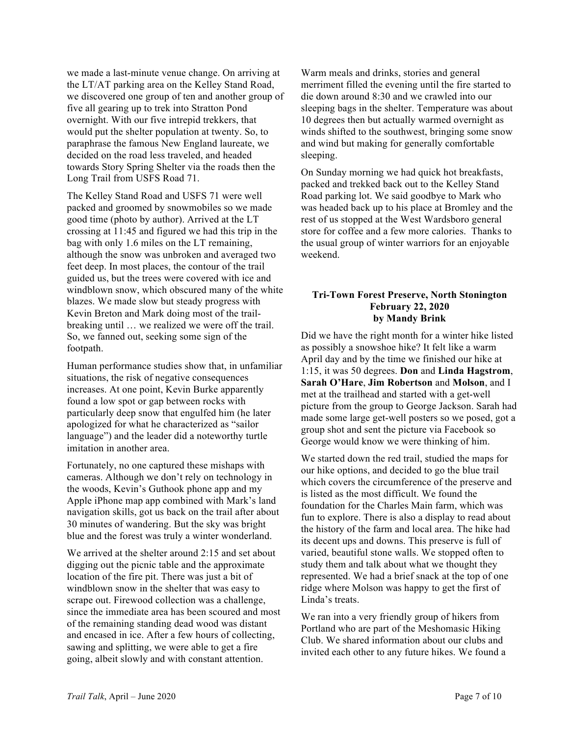we made a last-minute venue change. On arriving at the LT/AT parking area on the Kelley Stand Road, we discovered one group of ten and another group of five all gearing up to trek into Stratton Pond overnight. With our five intrepid trekkers, that would put the shelter population at twenty. So, to paraphrase the famous New England laureate, we decided on the road less traveled, and headed towards Story Spring Shelter via the roads then the Long Trail from USFS Road 71.

The Kelley Stand Road and USFS 71 were well packed and groomed by snowmobiles so we made good time (photo by author). Arrived at the LT crossing at 11:45 and figured we had this trip in the bag with only 1.6 miles on the LT remaining, although the snow was unbroken and averaged two feet deep. In most places, the contour of the trail guided us, but the trees were covered with ice and windblown snow, which obscured many of the white blazes. We made slow but steady progress with Kevin Breton and Mark doing most of the trailbreaking until … we realized we were off the trail. So, we fanned out, seeking some sign of the footpath.

Human performance studies show that, in unfamiliar situations, the risk of negative consequences increases. At one point, Kevin Burke apparently found a low spot or gap between rocks with particularly deep snow that engulfed him (he later apologized for what he characterized as "sailor language") and the leader did a noteworthy turtle imitation in another area.

Fortunately, no one captured these mishaps with cameras. Although we don't rely on technology in the woods, Kevin's Guthook phone app and my Apple iPhone map app combined with Mark's land navigation skills, got us back on the trail after about 30 minutes of wandering. But the sky was bright blue and the forest was truly a winter wonderland.

We arrived at the shelter around 2:15 and set about digging out the picnic table and the approximate location of the fire pit. There was just a bit of windblown snow in the shelter that was easy to scrape out. Firewood collection was a challenge, since the immediate area has been scoured and most of the remaining standing dead wood was distant and encased in ice. After a few hours of collecting, sawing and splitting, we were able to get a fire going, albeit slowly and with constant attention.

Warm meals and drinks, stories and general merriment filled the evening until the fire started to die down around 8:30 and we crawled into our sleeping bags in the shelter. Temperature was about 10 degrees then but actually warmed overnight as winds shifted to the southwest, bringing some snow and wind but making for generally comfortable sleeping.

On Sunday morning we had quick hot breakfasts, packed and trekked back out to the Kelley Stand Road parking lot. We said goodbye to Mark who was headed back up to his place at Bromley and the rest of us stopped at the West Wardsboro general store for coffee and a few more calories. Thanks to the usual group of winter warriors for an enjoyable weekend.

### **Tri-Town Forest Preserve, North Stonington February 22, 2020 by Mandy Brink**

Did we have the right month for a winter hike listed as possibly a snowshoe hike? It felt like a warm April day and by the time we finished our hike at 1:15, it was 50 degrees. **Don** and **Linda Hagstrom**, **Sarah O'Hare**, **Jim Robertson** and **Molson**, and I met at the trailhead and started with a get-well picture from the group to George Jackson. Sarah had made some large get-well posters so we posed, got a group shot and sent the picture via Facebook so George would know we were thinking of him.

We started down the red trail, studied the maps for our hike options, and decided to go the blue trail which covers the circumference of the preserve and is listed as the most difficult. We found the foundation for the Charles Main farm, which was fun to explore. There is also a display to read about the history of the farm and local area. The hike had its decent ups and downs. This preserve is full of varied, beautiful stone walls. We stopped often to study them and talk about what we thought they represented. We had a brief snack at the top of one ridge where Molson was happy to get the first of Linda's treats.

We ran into a very friendly group of hikers from Portland who are part of the Meshomasic Hiking Club. We shared information about our clubs and invited each other to any future hikes. We found a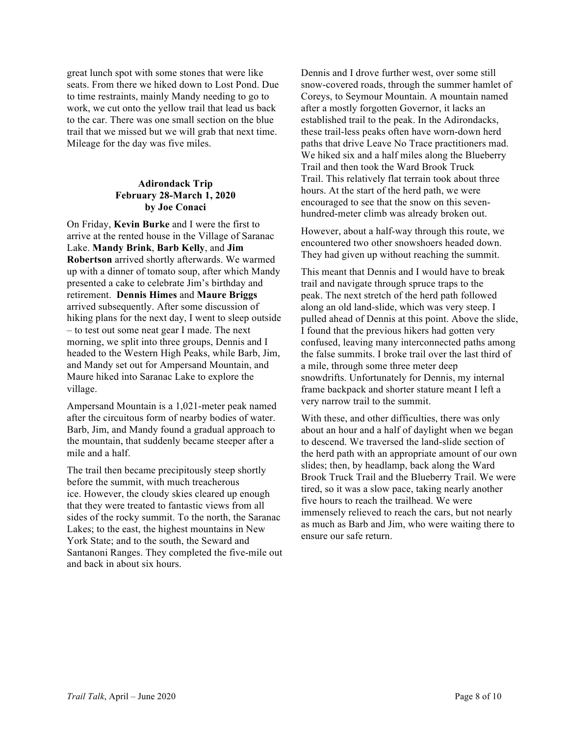great lunch spot with some stones that were like seats. From there we hiked down to Lost Pond. Due to time restraints, mainly Mandy needing to go to work, we cut onto the yellow trail that lead us back to the car. There was one small section on the blue trail that we missed but we will grab that next time. Mileage for the day was five miles.

### **Adirondack Trip February 28-March 1, 2020 by Joe Conaci**

On Friday, **Kevin Burke** and I were the first to arrive at the rented house in the Village of Saranac Lake. **Mandy Brink**, **Barb Kelly**, and **Jim Robertson** arrived shortly afterwards. We warmed up with a dinner of tomato soup, after which Mandy presented a cake to celebrate Jim's birthday and retirement. **Dennis Himes** and **Maure Briggs** arrived subsequently. After some discussion of hiking plans for the next day, I went to sleep outside – to test out some neat gear I made. The next morning, we split into three groups, Dennis and I headed to the Western High Peaks, while Barb, Jim, and Mandy set out for Ampersand Mountain, and Maure hiked into Saranac Lake to explore the village.

Ampersand Mountain is a 1,021-meter peak named after the circuitous form of nearby bodies of water. Barb, Jim, and Mandy found a gradual approach to the mountain, that suddenly became steeper after a mile and a half.

The trail then became precipitously steep shortly before the summit, with much treacherous ice. However, the cloudy skies cleared up enough that they were treated to fantastic views from all sides of the rocky summit. To the north, the Saranac Lakes; to the east, the highest mountains in New York State; and to the south, the Seward and Santanoni Ranges. They completed the five-mile out and back in about six hours.

Dennis and I drove further west, over some still snow-covered roads, through the summer hamlet of Coreys, to Seymour Mountain. A mountain named after a mostly forgotten Governor, it lacks an established trail to the peak. In the Adirondacks, these trail-less peaks often have worn-down herd paths that drive Leave No Trace practitioners mad. We hiked six and a half miles along the Blueberry Trail and then took the Ward Brook Truck Trail. This relatively flat terrain took about three hours. At the start of the herd path, we were encouraged to see that the snow on this sevenhundred-meter climb was already broken out.

However, about a half-way through this route, we encountered two other snowshoers headed down. They had given up without reaching the summit.

This meant that Dennis and I would have to break trail and navigate through spruce traps to the peak. The next stretch of the herd path followed along an old land-slide, which was very steep. I pulled ahead of Dennis at this point. Above the slide, I found that the previous hikers had gotten very confused, leaving many interconnected paths among the false summits. I broke trail over the last third of a mile, through some three meter deep snowdrifts. Unfortunately for Dennis, my internal frame backpack and shorter stature meant I left a very narrow trail to the summit.

With these, and other difficulties, there was only about an hour and a half of daylight when we began to descend. We traversed the land-slide section of the herd path with an appropriate amount of our own slides; then, by headlamp, back along the Ward Brook Truck Trail and the Blueberry Trail. We were tired, so it was a slow pace, taking nearly another five hours to reach the trailhead. We were immensely relieved to reach the cars, but not nearly as much as Barb and Jim, who were waiting there to ensure our safe return.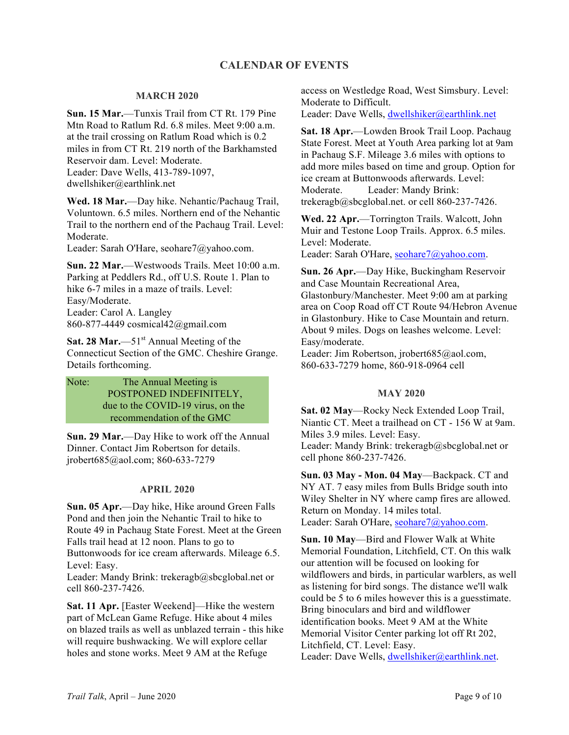# **CALENDAR OF EVENTS**

## **MARCH 2020**

**Sun. 15 Mar.**—Tunxis Trail from CT Rt. 179 Pine Mtn Road to Ratlum Rd. 6.8 miles. Meet 9:00 a.m. at the trail crossing on Ratlum Road which is 0.2 miles in from CT Rt. 219 north of the Barkhamsted Reservoir dam. Level: Moderate. Leader: Dave Wells, 413-789-1097, dwellshiker@earthlink.net

**Wed. 18 Mar.**—Day hike. Nehantic/Pachaug Trail, Voluntown. 6.5 miles. Northern end of the Nehantic Trail to the northern end of the Pachaug Trail. Level: Moderate.

Leader: Sarah O'Hare, seohare7@yahoo.com.

**Sun. 22 Mar.**—Westwoods Trails. Meet 10:00 a.m. Parking at Peddlers Rd., off U.S. Route 1. Plan to hike 6-7 miles in a maze of trails. Level: Easy/Moderate. Leader: Carol A. Langley 860-877-4449 cosmical42@gmail.com

**Sat. 28 Mar.**—51<sup>st</sup> Annual Meeting of the Connecticut Section of the GMC. Cheshire Grange. Details forthcoming.

Note: The Annual Meeting is POSTPONED INDEFINITELY, due to the COVID-19 virus, on the recommendation of the GMC

**Sun. 29 Mar.**—Day Hike to work off the Annual Dinner. Contact Jim Robertson for details. jrobert685@aol.com; 860-633-7279

## **APRIL 2020**

**Sun. 05 Apr.**—Day hike, Hike around Green Falls Pond and then join the Nehantic Trail to hike to Route 49 in Pachaug State Forest. Meet at the Green Falls trail head at 12 noon. Plans to go to Buttonwoods for ice cream afterwards. Mileage 6.5. Level: Easy.

Leader: Mandy Brink: trekeragb@sbcglobal.net or cell 860-237-7426.

**Sat. 11 Apr.** [Easter Weekend]—Hike the western part of McLean Game Refuge. Hike about 4 miles on blazed trails as well as unblazed terrain - this hike will require bushwacking. We will explore cellar holes and stone works. Meet 9 AM at the Refuge

access on Westledge Road, West Simsbury. Level: Moderate to Difficult. Leader: Dave Wells, dwellshiker@earthlink.net

**Sat. 18 Apr.**—Lowden Brook Trail Loop. Pachaug State Forest. Meet at Youth Area parking lot at 9am in Pachaug S.F. Mileage 3.6 miles with options to add more miles based on time and group. Option for ice cream at Buttonwoods afterwards. Level: Moderate. Leader: Mandy Brink: trekeragb@sbcglobal.net. or cell 860-237-7426.

**Wed. 22 Apr.**—Torrington Trails. Walcott, John Muir and Testone Loop Trails. Approx. 6.5 miles. Level: Moderate. Leader: Sarah O'Hare, seohare7@yahoo.com.

**Sun. 26 Apr.**—Day Hike, Buckingham Reservoir

and Case Mountain Recreational Area, Glastonbury/Manchester. Meet 9:00 am at parking area on Coop Road off CT Route 94/Hebron Avenue in Glastonbury. Hike to Case Mountain and return. About 9 miles. Dogs on leashes welcome. Level: Easy/moderate.

Leader: Jim Robertson, jrobert685@aol.com, 860-633-7279 home, 860-918-0964 cell

## **MAY 2020**

**Sat. 02 May**—Rocky Neck Extended Loop Trail, Niantic CT. Meet a trailhead on CT - 156 W at 9am. Miles 3.9 miles. Level: Easy. Leader: Mandy Brink: trekeragb@sbcglobal.net or cell phone 860-237-7426.

**Sun. 03 May - Mon. 04 May**—Backpack. CT and NY AT. 7 easy miles from Bulls Bridge south into Wiley Shelter in NY where camp fires are allowed. Return on Monday. 14 miles total. Leader: Sarah O'Hare, seohare7@yahoo.com.

**Sun. 10 May**—Bird and Flower Walk at White Memorial Foundation, Litchfield, CT. On this walk our attention will be focused on looking for wildflowers and birds, in particular warblers, as well as listening for bird songs. The distance we'll walk could be 5 to 6 miles however this is a guesstimate. Bring binoculars and bird and wildflower identification books. Meet 9 AM at the White Memorial Visitor Center parking lot off Rt 202, Litchfield, CT. Level: Easy. Leader: Dave Wells, dwellshiker@earthlink.net.